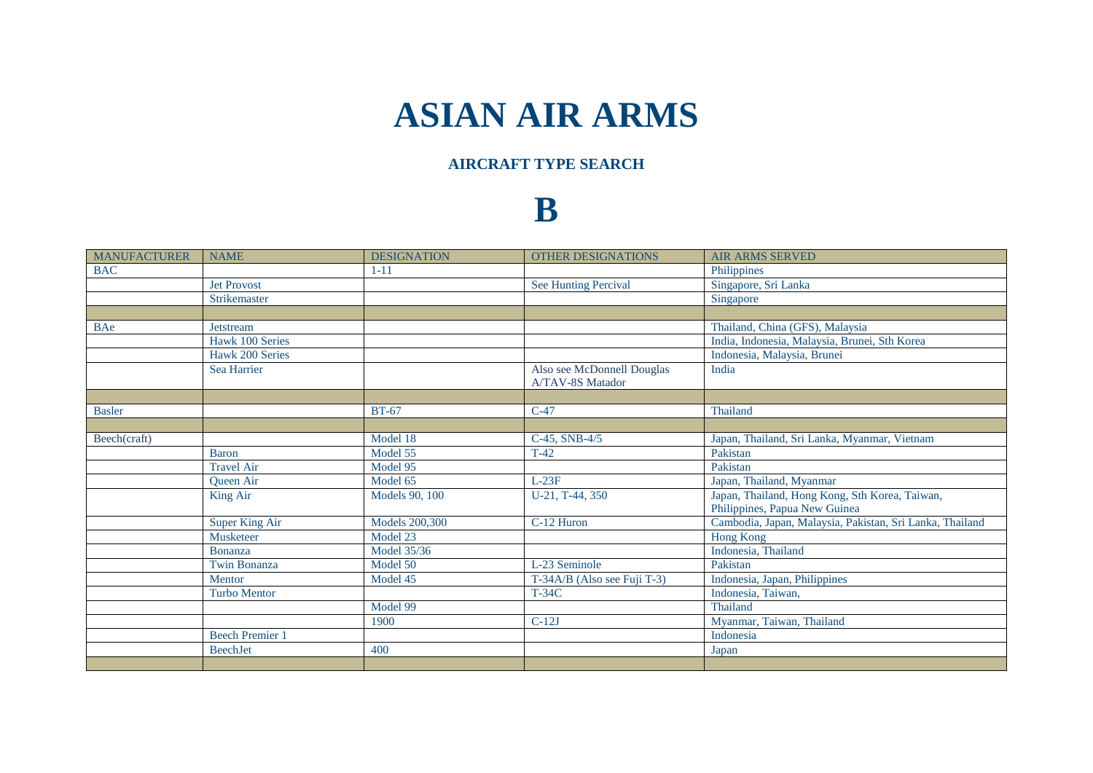## **ASIAN AIR ARMS**

## **AIRCRAFT TYPE SEARCH**

## **B**

| <b>MANUFACTURER</b> | <b>NAME</b>           | <b>DESIGNATION</b>    | <b>OTHER DESIGNATIONS</b>                      | <b>AIR ARMS SERVED</b>                                                          |
|---------------------|-----------------------|-----------------------|------------------------------------------------|---------------------------------------------------------------------------------|
| <b>BAC</b>          |                       | $1 - 11$              |                                                | Philippines                                                                     |
|                     | <b>Jet Provost</b>    |                       | <b>See Hunting Percival</b>                    | Singapore, Sri Lanka                                                            |
|                     | Strikemaster          |                       |                                                | Singapore                                                                       |
|                     |                       |                       |                                                |                                                                                 |
| <b>BAe</b>          | Jetstream             |                       |                                                | Thailand, China (GFS), Malaysia                                                 |
|                     | Hawk 100 Series       |                       |                                                | India, Indonesia, Malaysia, Brunei, Sth Korea                                   |
|                     | Hawk 200 Series       |                       |                                                | Indonesia, Malaysia, Brunei                                                     |
|                     | Sea Harrier           |                       | Also see McDonnell Douglas<br>A/TAV-8S Matador | India                                                                           |
|                     |                       |                       |                                                |                                                                                 |
| <b>Basler</b>       |                       | <b>BT-67</b>          | $C-47$                                         | Thailand                                                                        |
|                     |                       |                       |                                                |                                                                                 |
| Beech(craft)        |                       | Model 18              | C-45, SNB-4/5                                  | Japan, Thailand, Sri Lanka, Myanmar, Vietnam                                    |
|                     | <b>Baron</b>          | Model 55              | $T-42$                                         | Pakistan                                                                        |
|                     | <b>Travel Air</b>     | Model 95              |                                                | Pakistan                                                                        |
|                     | Queen Air             | Model 65              | $L-23F$                                        | Japan, Thailand, Myanmar                                                        |
|                     | King Air              | Models 90, 100        | U-21, T-44, 350                                | Japan, Thailand, Hong Kong, Sth Korea, Taiwan,<br>Philippines, Papua New Guinea |
|                     | <b>Super King Air</b> | <b>Models 200,300</b> | C-12 Huron                                     | Cambodia, Japan, Malaysia, Pakistan, Sri Lanka, Thailand                        |
|                     | Musketeer             | Model 23              |                                                | Hong Kong                                                                       |
|                     | Bonanza               | Model 35/36           |                                                | Indonesia, Thailand                                                             |
|                     | Twin Bonanza          | Model 50              | L-23 Seminole                                  | Pakistan                                                                        |
|                     | Mentor                | Model 45              | T-34A/B (Also see Fuji T-3)                    | Indonesia, Japan, Philippines                                                   |
|                     | <b>Turbo Mentor</b>   |                       | <b>T-34C</b>                                   | Indonesia, Taiwan,                                                              |
|                     |                       | Model 99              |                                                | Thailand                                                                        |
|                     |                       | 1900                  | $C-12J$                                        | Myanmar, Taiwan, Thailand                                                       |
|                     | <b>Beech Premier</b>  |                       |                                                | Indonesia                                                                       |
|                     | <b>BeechJet</b>       | 400                   |                                                | Japan                                                                           |
|                     |                       |                       |                                                |                                                                                 |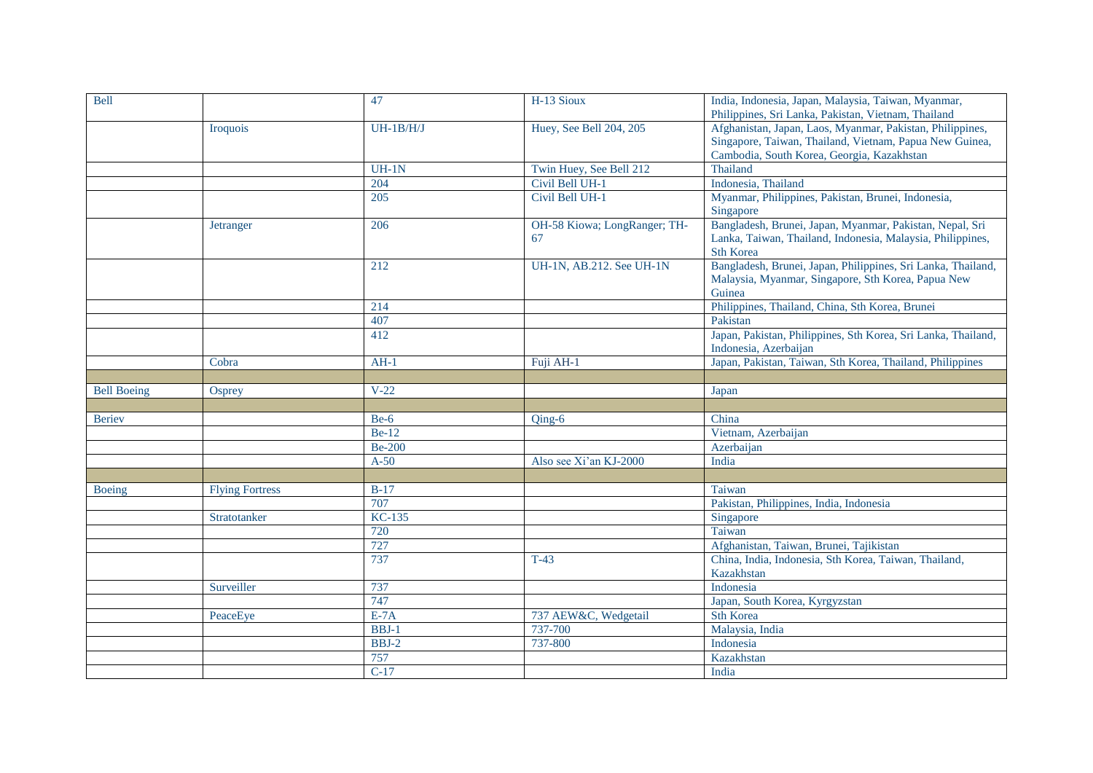| <b>Bell</b>        |                        | 47            | H-13 Sioux                   | India, Indonesia, Japan, Malaysia, Taiwan, Myanmar,           |
|--------------------|------------------------|---------------|------------------------------|---------------------------------------------------------------|
|                    |                        |               |                              | Philippines, Sri Lanka, Pakistan, Vietnam, Thailand           |
|                    | <b>Iroquois</b>        | $UH-1B/H/J$   | Huey, See Bell 204, 205      | Afghanistan, Japan, Laos, Myanmar, Pakistan, Philippines,     |
|                    |                        |               |                              | Singapore, Taiwan, Thailand, Vietnam, Papua New Guinea,       |
|                    |                        |               |                              | Cambodia, South Korea, Georgia, Kazakhstan                    |
|                    |                        | $UH-1N$       | Twin Huey, See Bell 212      | Thailand                                                      |
|                    |                        | 204           | Civil Bell UH-1              | Indonesia, Thailand                                           |
|                    |                        | 205           | Civil Bell UH-1              | Myanmar, Philippines, Pakistan, Brunei, Indonesia,            |
|                    |                        |               |                              | Singapore                                                     |
|                    | <b>Jetranger</b>       | 206           | OH-58 Kiowa; LongRanger; TH- | Bangladesh, Brunei, Japan, Myanmar, Pakistan, Nepal, Sri      |
|                    |                        |               | 67                           | Lanka, Taiwan, Thailand, Indonesia, Malaysia, Philippines,    |
|                    |                        |               |                              | <b>Sth Korea</b>                                              |
|                    |                        | 212           | UH-1N, AB.212. See UH-1N     | Bangladesh, Brunei, Japan, Philippines, Sri Lanka, Thailand,  |
|                    |                        |               |                              | Malaysia, Myanmar, Singapore, Sth Korea, Papua New            |
|                    |                        |               |                              | Guinea                                                        |
|                    |                        | 214           |                              | Philippines, Thailand, China, Sth Korea, Brunei               |
|                    |                        | 407           |                              | Pakistan                                                      |
|                    |                        | 412           |                              | Japan, Pakistan, Philippines, Sth Korea, Sri Lanka, Thailand, |
|                    |                        |               |                              | Indonesia, Azerbaijan                                         |
|                    | Cobra                  | $AH-1$        | Fuji AH-1                    | Japan, Pakistan, Taiwan, Sth Korea, Thailand, Philippines     |
|                    |                        |               |                              |                                                               |
| <b>Bell Boeing</b> | Osprey                 | $V-22$        |                              | Japan                                                         |
|                    |                        |               |                              |                                                               |
| <b>Beriev</b>      |                        | $Be-6$        | $Oing-6$                     | China                                                         |
|                    |                        | <b>Be-12</b>  |                              | Vietnam, Azerbaijan                                           |
|                    |                        | <b>Be-200</b> |                              | Azerbaijan                                                    |
|                    |                        | $A-50$        | Also see Xi'an KJ-2000       | India                                                         |
|                    |                        |               |                              |                                                               |
| Boeing             | <b>Flying Fortress</b> | $B-17$        |                              | Taiwan                                                        |
|                    |                        | 707           |                              | Pakistan, Philippines, India, Indonesia                       |
|                    | Stratotanker           | KC-135        |                              | Singapore                                                     |
|                    |                        | 720           |                              | Taiwan                                                        |
|                    |                        | 727           |                              | Afghanistan, Taiwan, Brunei, Tajikistan                       |
|                    |                        | 737           | $T-43$                       | China, India, Indonesia, Sth Korea, Taiwan, Thailand,         |
|                    |                        |               |                              | Kazakhstan                                                    |
|                    | Surveiller             | 737           |                              | Indonesia                                                     |
|                    |                        | 747           |                              | Japan, South Korea, Kyrgyzstan                                |
|                    | PeaceEye               | $E-7A$        | 737 AEW&C, Wedgetail         | <b>Sth Korea</b>                                              |
|                    |                        | $BBJ-1$       | 737-700                      | Malaysia, India                                               |
|                    |                        | $BBJ-2$       | 737-800                      | Indonesia                                                     |
|                    |                        | 757           |                              | Kazakhstan                                                    |
|                    |                        | $C-17$        |                              | India                                                         |